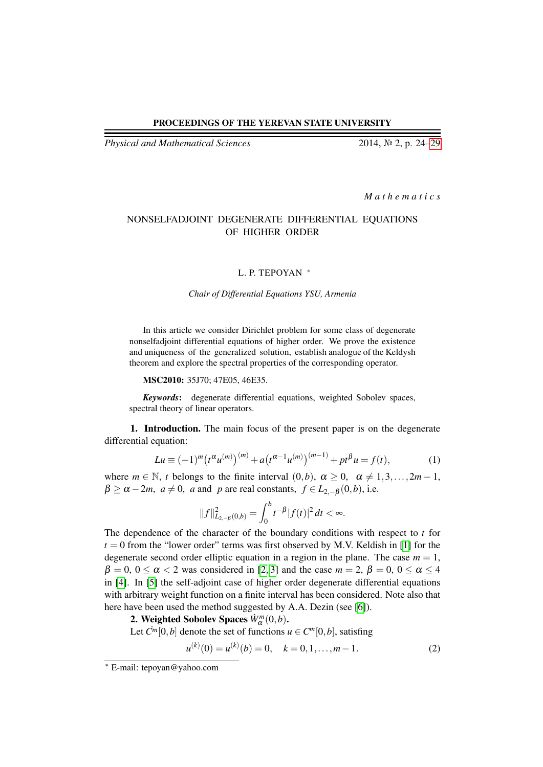## PROCEEDINGS OF THE YEREVAN STATE UNIVERSITY

*Physical and Mathematical Sciences* 2014, № 2, p. 24[–29](#page-5-0)

*M a t h e m a t i c s*

# NONSELFADJOINT DEGENERATE DIFFERENTIAL EQUATIONS OF HIGHER ORDER

#### L. P. TEPOYAN \*

### *Chair of Differential Equations YSU, Armenia*

In this article we consider Dirichlet problem for some class of degenerate nonselfadjoint differential equations of higher order. We prove the existence and uniqueness of the generalized solution, establish analogue of the Keldysh theorem and explore the spectral properties of the corresponding operator.

MSC2010: 35J70; 47E05, 46E35.

*Keywords*: degenerate differential equations, weighted Sobolev spaces, spectral theory of linear operators.

1. Introduction. The main focus of the present paper is on the degenerate differential equation:

<span id="page-0-0"></span>
$$
Lu \equiv (-1)^m (t^{\alpha} u^{(m)})^{(m)} + a (t^{\alpha-1} u^{(m)})^{(m-1)} + pt^{\beta} u = f(t),
$$
 (1)

where  $m \in \mathbb{N}$ , *t* belongs to the finite interval  $(0,b)$ ,  $\alpha \ge 0$ ,  $\alpha \ne 1,3,\ldots,2m-1$ ,  $\beta \ge \alpha - 2m$ ,  $a \ne 0$ , *a* and *p* are real constants,  $f \in L_{2,-\beta}(0,b)$ , i.e.

$$
||f||^2_{L_{2,-\beta}(0,b)} = \int_0^b t^{-\beta} |f(t)|^2 dt < \infty.
$$

The dependence of the character of the boundary conditions with respect to *t* for  $t = 0$  from the "lower order" terms was first observed by M.V. Keldish in [\[1\]](#page-5-1) for the degenerate second order elliptic equation in a region in the plane. The case  $m = 1$ ,  $\beta = 0$ ,  $0 \le \alpha < 2$  was considered in [\[2,](#page-5-2) [3\]](#page-5-3) and the case  $m = 2$ ,  $\beta = 0$ ,  $0 \le \alpha \le 4$ in [\[4\]](#page-5-4). In [\[5\]](#page-5-5) the self-adjoint case of higher order degenerate differential equations with arbitrary weight function on a finite interval has been considered. Note also that here have been used the method suggested by A.A. Dezin (see [\[6\]](#page-5-6)).

2. Weighted Sobolev Spaces  $W_{\alpha}^{m}(0,b)$ .

Let  $\mathcal{C}^m[0,b]$  denote the set of functions  $u \in \mathcal{C}^m[0,b]$ , satisfing

$$
u^{(k)}(0) = u^{(k)}(b) = 0, \quad k = 0, 1, \dots, m - 1.
$$
 (2)

<sup>∗</sup> E-mail: tepoyan@yahoo.com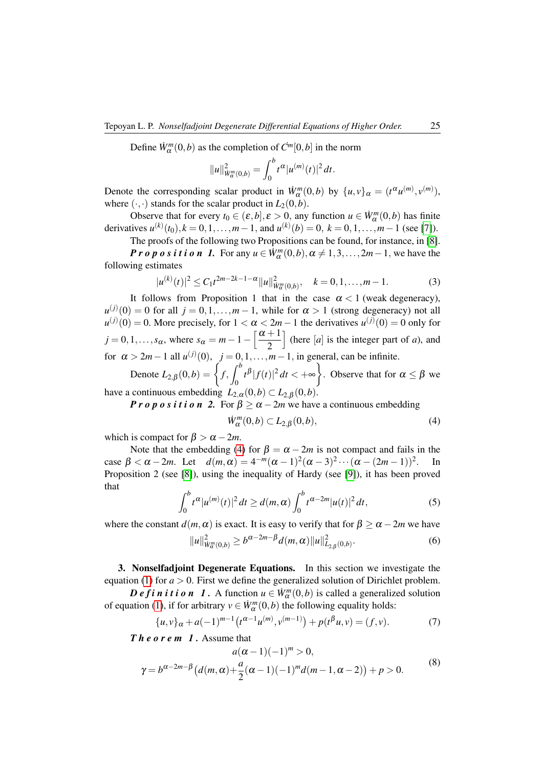Define  $\dot{W}_{\alpha}^{m}(0,b)$  as the completion of  $\dot{C}^{m}[0,b]$  in the norm

$$
||u||_{W^{m}_{\alpha}(0,b)}^{2} = \int_{0}^{b} t^{\alpha} |u^{(m)}(t)|^{2} dt.
$$

Denote the corresponding scalar product in  $\dot{W}^m_\alpha(0,b)$  by  $\{u,v\}_\alpha = (t^\alpha u^{(m)}, v^{(m)}),$ where  $(\cdot, \cdot)$  stands for the scalar product in  $L_2(0,b)$ .

Observe that for every  $t_0 \in (\varepsilon, b], \varepsilon > 0$ , any function  $u \in \mathring{W}_\alpha^m(0, b)$  has finite derivatives  $u^{(k)}(t_0)$ ,  $k = 0, 1, ..., m-1$ , and  $u^{(k)}(b) = 0$ ,  $k = 0, 1, ..., m-1$  (see [\[7\]](#page-5-7)).

The proofs of the following two Propositions can be found, for instance, in [\[8\]](#page-5-8).

*P r o p o s i t i o n 1.* For any  $u \in \dot{W}^m_\alpha(0,b)$ ,  $\alpha \neq 1,3,\ldots,2m-1$ , we have the following estimates

<span id="page-1-2"></span>
$$
|u^{(k)}(t)|^2 \le C_1 t^{2m-2k-1-\alpha} \|u\|_{\dot{W}^m(\Omega,b)}^2, \quad k=0,1,\ldots,m-1.
$$
 (3)

It follows from Proposition 1 that in the case  $\alpha < 1$  (weak degeneracy),  $u^{(j)}(0) = 0$  for all  $j = 0, 1, ..., m - 1$ , while for  $\alpha > 1$  (strong degeneracy) not all  $u^{(j)}(0) = 0$ . More precisely, for  $1 < \alpha < 2m - 1$  the derivatives  $u^{(j)}(0) = 0$  only for  $j = 0, 1, \ldots, s_{\alpha}$ , where  $s_{\alpha} = m - 1 - \left[\frac{\alpha + 1}{2}\right]$ 2 (here  $[a]$  is the integer part of *a*), and for  $\alpha > 2m-1$  all  $u^{(j)}(0)$ ,  $j = 0, 1, \ldots, m-1$ , in general, can be infinite.

Denote  $L_{2,\beta}(0,b) = \left\{ f, \int_a^b \right\}$  $\mathbf{0}$  $|t^{\beta}|f(t)|^2 dt < +\infty$ . Observe that for  $\alpha \leq \beta$  we have a continuous embedding  $L_{2,\alpha}(0,b) \subset L_{2,\beta}(0,b)$ .

*P r o p o s i t i o n* 2. For  $\beta \ge \alpha - 2m$  we have a continuous embedding

<span id="page-1-0"></span>
$$
\dot{W}^m_{\alpha}(0,b) \subset L_{2,\beta}(0,b),\tag{4}
$$

which is compact for  $\beta > \alpha - 2m$ .

Note that the embedding [\(4\)](#page-1-0) for  $\beta = \alpha - 2m$  is not compact and fails in the case  $\beta < \alpha - 2m$ . Let  $d(m, \alpha) = 4^{-m}(\alpha - 1)^2(\alpha - 3)^2 \cdots (\alpha - (2m - 1))^2$ . In Proposition 2 (see [\[8\]](#page-5-8)), using the inequality of Hardy (see [\[9\]](#page-5-9)), it has been proved that

<span id="page-1-3"></span>
$$
\int_0^b t^{\alpha} |u^{(m)}(t)|^2 dt \ge d(m, \alpha) \int_0^b t^{\alpha - 2m} |u(t)|^2 dt,
$$
 (5)

where the constant  $d(m, \alpha)$  is exact. It is easy to verify that for  $\beta > \alpha - 2m$  we have

<span id="page-1-4"></span>
$$
||u||_{W_{\alpha}^{m}(0,b)}^{2} \ge b^{\alpha-2m-\beta} d(m,\alpha)||u||_{L_{2,\beta}(0,b)}^{2}.
$$
 (6)

3. Nonselfadjoint Degenerate Equations. In this section we investigate the equation [\(1\)](#page-0-0) for  $a > 0$ . First we define the generalized solution of Dirichlet problem.

*D e f i n i t i o n 1*. A function  $u \in W_\alpha^m(0,b)$  is called a generalized solution of equation [\(1\)](#page-0-0), if for arbitrary  $v \in \dot{W}^m_\alpha(0,b)$  the following equality holds:

<span id="page-1-1"></span>
$$
\{u, v\}_{\alpha} + a(-1)^{m-1} \left(t^{\alpha-1} u^{(m)}, v^{(m-1)}\right) + p(t^{\beta} u, v) = (f, v). \tag{7}
$$

<span id="page-1-5"></span>*T h e o r e m 1 .* Assume that

$$
a(\alpha - 1)(-1)^m > 0,
$$
  
\n
$$
\gamma = b^{\alpha - 2m - \beta} (d(m, \alpha) + \frac{a}{2}(\alpha - 1)(-1)^m d(m - 1, \alpha - 2)) + p > 0.
$$
\n(8)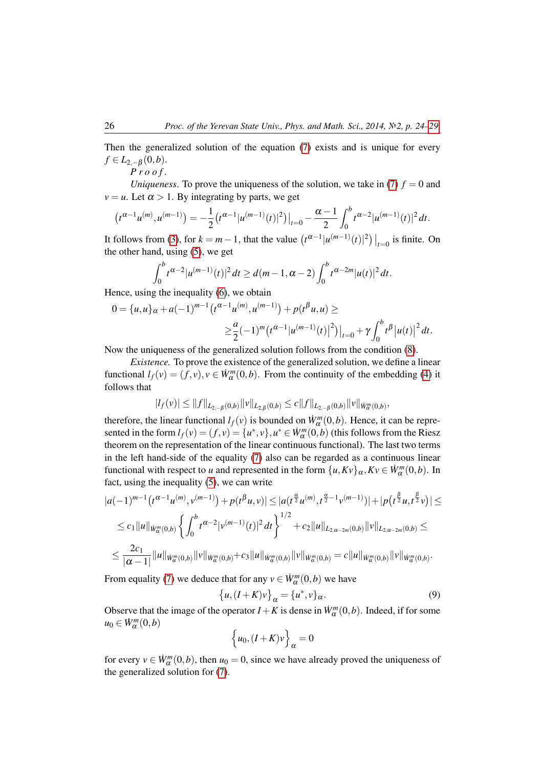Then the generalized solution of the equation [\(7\)](#page-1-1) exists and is unique for every  $f \in L_{2,-\beta}(0,b).$ 

$$
Proof.
$$

*Uniqueness*. To prove the uniqueness of the solution, we take in [\(7\)](#page-1-1)  $f = 0$  and  $v = u$ . Let  $\alpha > 1$ . By integrating by parts, we get

$$
\left(t^{\alpha-1}u^{(m)},u^{(m-1)}\right)=-\frac{1}{2}\left(t^{\alpha-1}|u^{(m-1)}(t)|^2\right)|_{t=0}-\frac{\alpha-1}{2}\int_0^bt^{\alpha-2}|u^{(m-1)}(t)|^2dt.
$$

It follows from [\(3\)](#page-1-2), for  $k = m - 1$ , that the value  $(t^{\alpha-1} |u^{(m-1)}(t)|^2)|_{t=0}$  is finite. On the other hand, using [\(5\)](#page-1-3), we get

$$
\int_0^b t^{\alpha-2} |u^{(m-1)}(t)|^2 dt \ge d(m-1, \alpha-2) \int_0^b t^{\alpha-2m} |u(t)|^2 dt.
$$

Hence, using the inequality [\(6\)](#page-1-4), we obtain

$$
0 = \{u, u\}_{\alpha} + a(-1)^{m-1} (t^{\alpha-1} u^{(m)}, u^{(m-1)}) + p(t^{\beta} u, u) \ge
$$
  

$$
\geq \frac{a}{2} (-1)^m (t^{\alpha-1} |u^{(m-1)}(t)|^2) |_{t=0} + \gamma \int_0^b t^{\beta} |u(t)|^2 dt.
$$

Now the uniqueness of the generalized solution follows from the condition [\(8\)](#page-1-5).

*Existence.* To prove the existence of the generalized solution, we define a linear functional  $l_f(v) = (f, v), v \in W^m_\alpha(0, b)$ . From the continuity of the embedding [\(4\)](#page-1-0) it follows that

$$
|I_f(v)| \leq ||f||_{L_{2,-\beta}(0,b)} ||v||_{L_{2,\beta}(0,b)} \leq c||f||_{L_{2,-\beta}(0,b)} ||v||_{\dot{W}^m(\Omega,b)},
$$

therefore, the linear functional  $l_f(v)$  is bounded on  $W_\alpha^m(0,b)$ . Hence, it can be represented in the form  $l_f(v) = (f, v) = \{u^*, v\}$ ,  $u^* \in \dot{W}_\alpha^m(0, b)$  (this follows from the Riesz theorem on the representation of the linear continuous functional). The last two terms in the left hand-side of the equality [\(7\)](#page-1-1) also can be regarded as a continuous linear functional with respect to *u* and represented in the form  $\{u, Kv\}_{\alpha}, Kv \in \dot{W}^m_{\alpha}(0, b)$ . In fact, using the inequality [\(5\)](#page-1-3), we can write

$$
|a(-1)^{m-1}(t^{\alpha-1}u^{(m)}, v^{(m-1)})+p(t^{\beta}u, v)| \leq |a(t^{\frac{\alpha}{2}}u^{(m)}, t^{\frac{\alpha}{2}-1}v^{(m-1)})|+|p(t^{\frac{\beta}{2}}u, t^{\frac{\beta}{2}}v)| \leq
$$
  
\n
$$
\leq c_1||u||_{\dot{W}^m(\Omega,b)}\left\{\int_0^b t^{\alpha-2}|v^{(m-1)}(t)|^2 dt\right\}^{1/2}+c_2||u||_{L_{2,\alpha-2m}(0,b)}||v||_{L_{2,\alpha-2m}(0,b)} \leq
$$
  
\n
$$
\leq \frac{2c_1}{|\alpha-1|}||u||_{\dot{W}^m(\Omega,b)}||v||_{\dot{W}^m(\Omega,b)}+c_3||u||_{\dot{W}^m(\Omega,b)}||v||_{\dot{W}^m(\Omega,b)} = c||u||_{\dot{W}^m(\Omega,b)}||v||_{\dot{W}^m(\Omega,b)}.
$$

From equality [\(7\)](#page-1-1) we deduce that for any  $v \in W_{\alpha}^{m}(0,b)$  we have

<span id="page-2-0"></span>
$$
\{u,(I+K)v\}_{\alpha} = \{u^*,v\}_{\alpha}.
$$
\n(9)

Observe that the image of the operator  $I + K$  is dense in  $\dot{W}^m_\alpha(0,b)$ . Indeed, if for some  $u_0 \in \dot{W}^m_\alpha(0,b)$ 

$$
\left\{u_0, (I+K)v\right\}_\alpha = 0
$$

for every  $v \in \dot{W}^m_\alpha(0,b)$ , then  $u_0 = 0$ , since we have already proved the uniqueness of the generalized solution for [\(7\)](#page-1-1).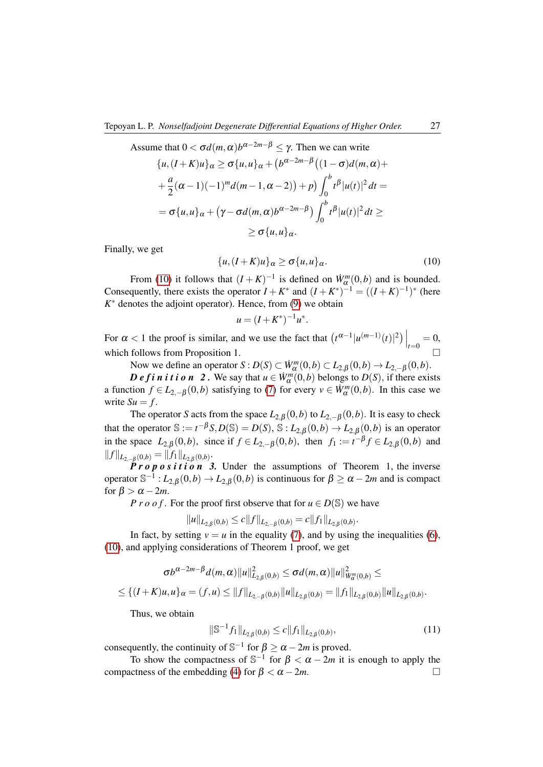Assume that 
$$
0 < \sigma d(m, \alpha) b^{\alpha - 2m - \beta} \leq \gamma
$$
. Then we can write  
\n
$$
\{u, (I + K)u\}_{\alpha} \geq \sigma \{u, u\}_{\alpha} + (b^{\alpha - 2m - \beta}((1 - \sigma)d(m, \alpha) +
$$
\n
$$
+ \frac{a}{2}(\alpha - 1)(-1)^m d(m - 1, \alpha - 2)) + p) \int_0^b t^{\beta} |u(t)|^2 dt =
$$
\n
$$
= \sigma \{u, u\}_{\alpha} + (\gamma - \sigma d(m, \alpha) b^{\alpha - 2m - \beta}) \int_0^b t^{\beta} |u(t)|^2 dt \geq
$$
\n
$$
\geq \sigma \{u, u\}_{\alpha}.
$$

Finally, we get

<span id="page-3-0"></span>
$$
\{u,(I+K)u\}_{\alpha} \ge \sigma\{u,u\}_{\alpha}.\tag{10}
$$

From [\(10\)](#page-3-0) it follows that  $(I + K)^{-1}$  is defined on  $W_{\alpha}^{m}(0, b)$  and is bounded. Consequently, there exists the operator  $I + K^*$  and  $(I + K^*)^{-1} = ((I + K)^{-1})^*$  (here  $K^*$  denotes the adjoint operator). Hence, from  $(9)$  we obtain

$$
u = (I + K^*)^{-1} u^*.
$$

For  $\alpha < 1$  the proof is similar, and we use the fact that  $(t^{\alpha-1} | u^{(m-1)}(t) |^2) \Big|_{t=0} = 0$ , which follows from Proposition 1.  $\Box$ 

Now we define an operator  $S: D(S) \subset W_\alpha^m(0,b) \subset L_{2,\beta}(0,b) \to L_{2,-\beta}(0,b)$ .

*D e f i n i t i o n* 2. We say that  $u \in W_\alpha^m(0,b)$  belongs to  $D(S)$ , if there exists a function  $f \in L_{2,-\beta}(0,b)$  satisfying to [\(7\)](#page-1-1) for every  $v \in \dot{W}^m_\alpha(0,b)$ . In this case we write  $Su = f$ .

The operator *S* acts from the space  $L_{2,\beta}(0,b)$  to  $L_{2,-\beta}(0,b)$ . It is easy to check that the operator  $\mathbb{S} := t^{-\beta} S, D(\mathbb{S}) = D(S), \mathbb{S} : L_{2,\beta}(0,b) \to L_{2,\beta}(0,b)$  is an operator in the space  $L_{2,\beta}(0,b)$ , since if  $f \in L_{2,-\beta}(0,b)$ , then  $f_1 := t^{-\beta} f \in L_{2,\beta}(0,b)$  and  $||f||_{L_{2,-\beta}(0,b)} = ||f_1||_{L_{2,\beta}(0,b)}.$ 

*P r o p o s i t i o n* 3. Under the assumptions of Theorem 1, the inverse operator  $\mathbb{S}^{-1}$  :  $L_{2,\beta}(0,b) \to L_{2,\beta}(0,b)$  is continuous for  $\beta \ge \alpha - 2m$  and is compact for  $\beta > \alpha - 2m$ .

*P r o o f .* For the proof first observe that for  $u \in D(\mathbb{S})$  we have

$$
||u||_{L_{2,\beta}(0,b)} \leq c||f||_{L_{2,-\beta}(0,b)} = c||f_1||_{L_{2,\beta}(0,b)}.
$$

In fact, by setting  $v = u$  in the equality [\(7\)](#page-1-1), and by using the inequalities [\(6\)](#page-1-4), [\(10\)](#page-3-0), and applying considerations of Theorem 1 proof, we get

$$
\sigma b^{\alpha-2m-\beta}d(m,\alpha)\|u\|_{L_{2,\beta}(0,b)}^2\leq \sigma d(m,\alpha)\|u\|_{W_{\alpha}^m(0,b)}^2\leq
$$
  

$$
\leq \{(I+K)u,u\}_{\alpha}=(f,u)\leq\|f\|_{L_{2,-\beta}(0,b)}\|u\|_{L_{2,\beta}(0,b)}=\|f_1\|_{L_{2,\beta}(0,b)}\|u\|_{L_{2,\beta}(0,b)}.
$$

Thus, we obtain

$$
\|\mathbb{S}^{-1}f_1\|_{L_{2,\beta}(0,b)} \le c \|f_1\|_{L_{2,\beta}(0,b)},\tag{11}
$$

consequently, the continuity of  $\mathbb{S}^{-1}$  for  $\beta \ge \alpha - 2m$  is proved.

To show the compactness of  $\mathbb{S}^{-1}$  for  $\beta < \alpha - 2m$  it is enough to apply the compactness of the embedding [\(4\)](#page-1-0) for  $\beta < \alpha - 2m$ .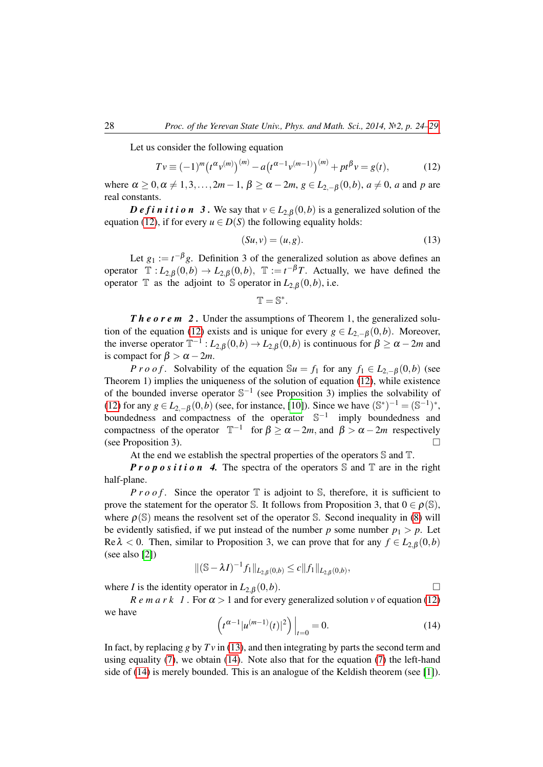Let us consider the following equation

<span id="page-4-0"></span>
$$
Tv \equiv (-1)^m \left(t^{\alpha} v^{(m)}\right)^{(m)} - a \left(t^{\alpha-1} v^{(m-1)}\right)^{(m)} + pt^{\beta} v = g(t),\tag{12}
$$

where  $\alpha \geq 0, \alpha \neq 1, 3, \ldots, 2m-1, \beta \geq \alpha - 2m, g \in L_{2-\beta}(0, b), a \neq 0, a$  and p are real constants.

*D e f i n i t i o n* 3. We say that  $v \in L_{2,\beta}(0,b)$  is a generalized solution of the equation [\(12\)](#page-4-0), if for every  $u \in D(S)$  the following equality holds:

<span id="page-4-1"></span>
$$
(Su, v) = (u, g). \tag{13}
$$

Let  $g_1 := t^{-\beta} g$ . Definition 3 of the generalized solution as above defines an operator  $\mathbb{T}: L_{2,\beta}(0,b) \to L_{2,\beta}(0,b)$ ,  $\mathbb{T} := t^{-\beta}T$ . Actually, we have defined the operator T as the adjoint to S operator in  $L_{2,\beta}(0,b)$ , i.e.

$$
\mathbb{T}=\mathbb{S}^*.
$$

*Theorem 2.* Under the assumptions of Theorem 1, the generalized solu-tion of the equation [\(12\)](#page-4-0) exists and is unique for every  $g \in L_{2,-\beta}(0,b)$ . Moreover, the inverse operator  $T^{-1}: L_{2,\beta}(0,b) \to L_{2,\beta}(0,b)$  is continuous for  $\beta \ge \alpha - 2m$  and is compact for  $\beta > \alpha - 2m$ .

*P r o o f*. Solvability of the equation  $\mathbb{S}u = f_1$  for any  $f_1 \in L_{2,-\beta}(0,b)$  (see Theorem 1) implies the uniqueness of the solution of equation [\(12\)](#page-4-0), while existence of the bounded inverse operator  $\mathbb{S}^{-1}$  (see Proposition 3) implies the solvability of [\(12\)](#page-4-0) for any  $g \in L_{2,-\beta}(0,b)$  (see, for instance, [\[10\]](#page-5-10)). Since we have  $(\mathbb{S}^*)^{-1} = (\mathbb{S}^{-1})^*$ , boundedness and compactness of the operator  $\mathbb{S}^{-1}$  imply boundedness and compactness of the operator  $\mathbb{T}^{-1}$  for  $\beta \ge \alpha - 2m$ , and  $\beta > \alpha - 2m$  respectively (see Proposition 3).

At the end we establish the spectral properties of the operators S and T.

*Proposition* 4. The spectra of the operators  $\mathbb S$  and  $\mathbb T$  are in the right half-plane.

*P r o o f.* Since the operator  $\mathbb T$  is adjoint to S, therefore, it is sufficient to prove the statement for the operator S. It follows from Proposition 3, that  $0 \in \rho(S)$ , where  $\rho(S)$  means the resolvent set of the operator S. Second inequality in [\(8\)](#page-1-5) will be evidently satisfied, if we put instead of the number  $p$  some number  $p_1 > p$ . Let Re  $\lambda$  < 0. Then, similar to Proposition 3, we can prove that for any  $f \in L_{2,\beta}(0,b)$ (see also [\[2\]](#page-5-2))

$$
\|(\mathbb{S} - \lambda I)^{-1} f_1\|_{L_{2,\beta}(0,b)} \le c \|f_1\|_{L_{2,\beta}(0,b)},
$$

where *I* is the identity operator in  $L_{2,\beta}(0,b)$ .

*R e m a r k 1*. For  $\alpha > 1$  and for every generalized solution *v* of equation [\(12\)](#page-4-0) we have

<span id="page-4-2"></span>
$$
\left(t^{\alpha-1} |u^{(m-1)}(t)|^2\right)\Big|_{t=0} = 0. \tag{14}
$$

In fact, by replacing  $g$  by  $Tv$  in [\(13\)](#page-4-1), and then integrating by parts the second term and using equality [\(7\)](#page-1-1), we obtain [\(14\)](#page-4-2). Note also that for the equation [\(7\)](#page-1-1) the left-hand side of [\(14\)](#page-4-2) is merely bounded. This is an analogue of the Keldish theorem (see [\[1\]](#page-5-1)).